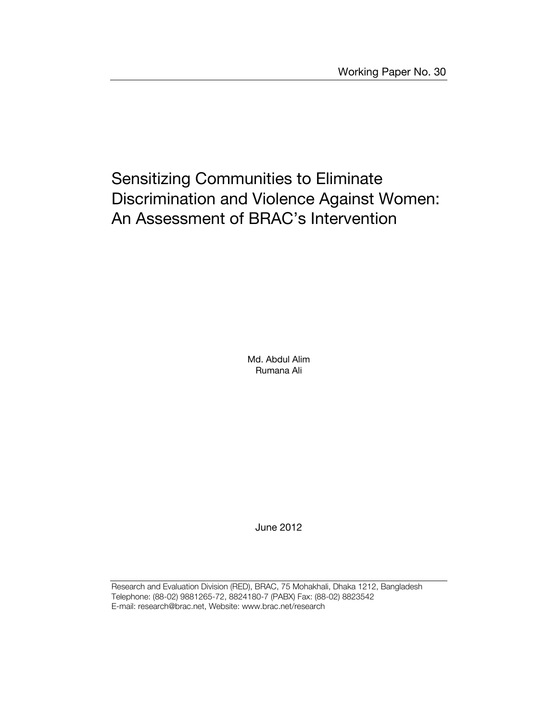## Sensitizing Communities to Eliminate Discrimination and Violence Against Women: An Assessment of BRAC's Intervention

Md. Abdul Alim Rumana Ali

June 2012

Research and Evaluation Division (RED), BRAC, 75 Mohakhali, Dhaka 1212, Bangladesh Telephone: (88-02) 9881265-72, 8824180-7 (PABX) Fax: (88-02) 8823542 E-mail: research@brac.net, Website: www.brac.net/research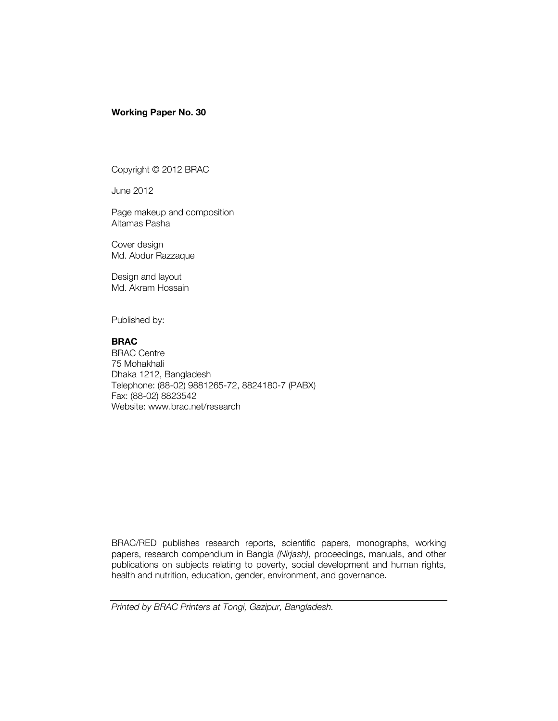#### **Working Paper No. 30**

Copyright © 2012 BRAC

June 2012

Page makeup and composition Altamas Pasha

Cover design Md. Abdur Razzaque

Design and layout Md. Akram Hossain

Published by:

#### **BRAC**

BRAC Centre 75 Mohakhali Dhaka 1212, Bangladesh Telephone: (88-02) 9881265-72, 8824180-7 (PABX) Fax: (88-02) 8823542 Website: www.brac.net/research

BRAC/RED publishes research reports, scientific papers, monographs, working papers, research compendium in Bangla *(Nirjash)*, proceedings, manuals, and other publications on subjects relating to poverty, social development and human rights, health and nutrition, education, gender, environment, and governance.

*Printed by BRAC Printers at Tongi, Gazipur, Bangladesh.*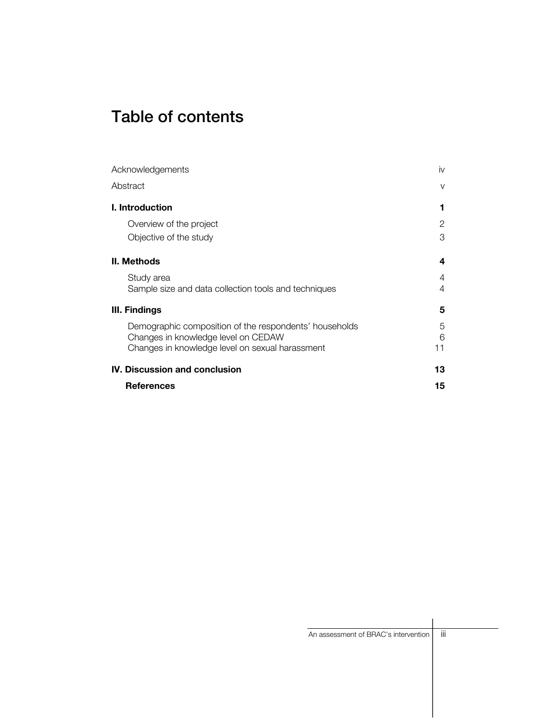# Table of contents

| Acknowledgements                                       | İV     |
|--------------------------------------------------------|--------|
| Abstract                                               | $\vee$ |
| I. Introduction                                        | 1      |
| Overview of the project                                | 2      |
| Objective of the study                                 | 3      |
| <b>II. Methods</b>                                     | 4      |
| Study area                                             | 4      |
| Sample size and data collection tools and techniques   | 4      |
| III. Findings                                          | 5      |
| Demographic composition of the respondents' households | 5      |
| Changes in knowledge level on CEDAW                    | 6      |
| Changes in knowledge level on sexual harassment        | 11     |
| <b>IV. Discussion and conclusion</b>                   | 13     |
| <b>References</b>                                      | 15     |

| An assessment of BRAC's intervention | $\cdots$<br>Ш |
|--------------------------------------|---------------|
|                                      |               |
|                                      |               |
|                                      |               |
|                                      |               |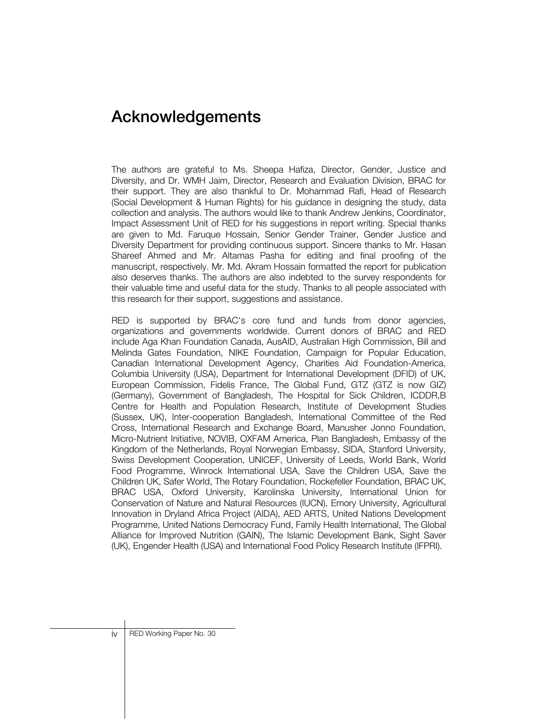## Acknowledgements

The authors are grateful to Ms. Sheepa Hafiza, Director, Gender, Justice and Diversity, and Dr. WMH Jaim, Director, Research and Evaluation Division, BRAC for their support. They are also thankful to Dr. Mohammad Rafi, Head of Research (Social Development & Human Rights) for his guidance in designing the study, data collection and analysis. The authors would like to thank Andrew Jenkins, Coordinator, Impact Assessment Unit of RED for his suggestions in report writing. Special thanks are given to Md. Faruque Hossain, Senior Gender Trainer, Gender Justice and Diversity Department for providing continuous support. Sincere thanks to Mr. Hasan Shareef Ahmed and Mr. Altamas Pasha for editing and final proofing of the manuscript, respectively. Mr. Md. Akram Hossain formatted the report for publication also deserves thanks. The authors are also indebted to the survey respondents for their valuable time and useful data for the study. Thanks to all people associated with this research for their support, suggestions and assistance.

RED is supported by BRAC's core fund and funds from donor agencies, organizations and governments worldwide. Current donors of BRAC and RED include Aga Khan Foundation Canada, AusAID, Australian High Commission, Bill and Melinda Gates Foundation, NIKE Foundation, Campaign for Popular Education, Canadian International Development Agency, Charities Aid Foundation-America, Columbia University (USA), Department for International Development (DFID) of UK, European Commission, Fidelis France, The Global Fund, GTZ (GTZ is now GIZ) (Germany), Government of Bangladesh, The Hospital for Sick Children, ICDDR,B Centre for Health and Population Research, Institute of Development Studies (Sussex, UK), Inter-cooperation Bangladesh, International Committee of the Red Cross, International Research and Exchange Board, Manusher Jonno Foundation, Micro-Nutrient Initiative, NOVIB, OXFAM America, Plan Bangladesh, Embassy of the Kingdom of the Netherlands, Royal Norwegian Embassy, SIDA, Stanford University, Swiss Development Cooperation, UNICEF, University of Leeds, World Bank, World Food Programme, Winrock International USA, Save the Children USA, Save the Children UK, Safer World, The Rotary Foundation, Rockefeller Foundation, BRAC UK, BRAC USA, Oxford University, Karolinska University, International Union for Conservation of Nature and Natural Resources (IUCN), Emory University, Agricultural Innovation in Dryland Africa Project (AIDA), AED ARTS, United Nations Development Programme, United Nations Democracy Fund, Family Health International, The Global Alliance for Improved Nutrition (GAIN), The Islamic Development Bank, Sight Saver (UK), Engender Health (USA) and International Food Policy Research Institute (IFPRI).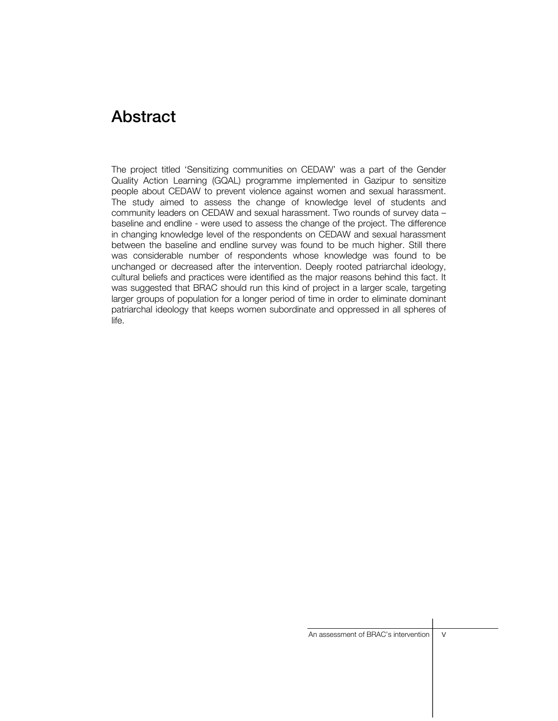### **Abstract**

The project titled 'Sensitizing communities on CEDAW' was a part of the Gender Quality Action Learning (GQAL) programme implemented in Gazipur to sensitize people about CEDAW to prevent violence against women and sexual harassment. The study aimed to assess the change of knowledge level of students and community leaders on CEDAW and sexual harassment. Two rounds of survey data – baseline and endline - were used to assess the change of the project. The difference in changing knowledge level of the respondents on CEDAW and sexual harassment between the baseline and endline survey was found to be much higher. Still there was considerable number of respondents whose knowledge was found to be unchanged or decreased after the intervention. Deeply rooted patriarchal ideology, cultural beliefs and practices were identified as the major reasons behind this fact. It was suggested that BRAC should run this kind of project in a larger scale, targeting larger groups of population for a longer period of time in order to eliminate dominant patriarchal ideology that keeps women subordinate and oppressed in all spheres of life.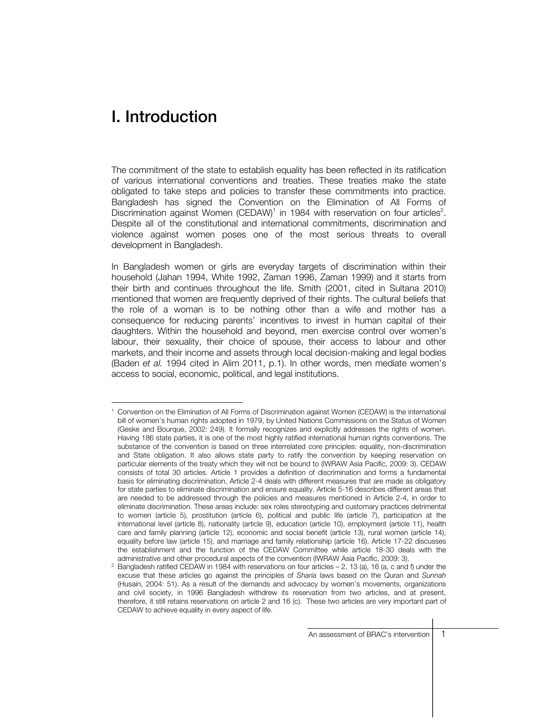### I. Introduction

The commitment of the state to establish equality has been reflected in its ratification of various international conventions and treaties. These treaties make the state obligated to take steps and policies to transfer these commitments into practice. Bangladesh has signed the Convention on the Elimination of All Forms of Discrimination against Women (CEDAW)<sup>1</sup> in 1984 with reservation on four articles<sup>2</sup>. Despite all of the constitutional and international commitments, discrimination and violence against women poses one of the most serious threats to overall development in Bangladesh.

In Bangladesh women or girls are everyday targets of discrimination within their household (Jahan 1994, White 1992, Zaman 1996, Zaman 1999) and it starts from their birth and continues throughout the life. Smith (2001, cited in Sultana 2010) mentioned that women are frequently deprived of their rights. The cultural beliefs that the role of a woman is to be nothing other than a wife and mother has a consequence for reducing parents' incentives to invest in human capital of their daughters. Within the household and beyond, men exercise control over women's labour, their sexuality, their choice of spouse, their access to labour and other markets, and their income and assets through local decision-making and legal bodies (Baden *et al.* 1994 cited in Alim 2011, p.1). In other words, men mediate women's access to social, economic, political, and legal institutions.

 1 Convention on the Elimination of All Forms of Discrimination against Women (CEDAW) is the international bill of women's human rights adopted in 1979, by United Nations Commissions on the Status of Women (Geske and Bourque, 2002: 249). It formally recognizes and explicitly addresses the rights of women. Having 186 state parties, it is one of the most highly ratified international human rights conventions. The substance of the convention is based on three interrelated core principles: equality, non-discrimination and State obligation. It also allows state party to ratify the convention by keeping reservation on particular elements of the treaty which they will not be bound to (IWRAW Asia Pacific, 2009: 3). CEDAW consists of total 30 articles. Article 1 provides a definition of discrimination and forms a fundamental basis for eliminating discrimination, Article 2-4 deals with different measures that are made as obligatory for state parties to eliminate discrimination and ensure equality. Article 5-16 describes different areas that are needed to be addressed through the policies and measures mentioned in Article 2-4, in order to eliminate discrimination. These areas include: sex roles stereotyping and customary practices detrimental to women (article 5), prostitution (article 6), political and public life (article 7), participation at the international level (article 8), nationality (article 9), education (article 10), employment (article 11), health care and family planning (article 12), economic and social benefit (article 13), rural women (article 14), equality before law (article 15), and marriage and family relationship (article 16). Article 17-22 discusses the establishment and the function of the CEDAW Committee while article 18-30 deals with the administrative and other procedural aspects of the convention (IWRAW Asia Pacific, 2009: 3).

Bangladesh ratified CEDAW in 1984 with reservations on four articles – 2, 13 (a), 16 (a, c and f) under the excuse that these articles go against the principles of *Sharia* laws based on the Quran and *Sunnah*  (Husain, 2004: 51). As a result of the demands and advocacy by women's movements, organizations and civil society, in 1996 Bangladesh withdrew its reservation from two articles, and at present, therefore, it still retains reservations on article 2 and 16 (c). These two articles are very important part of CEDAW to achieve equality in every aspect of life.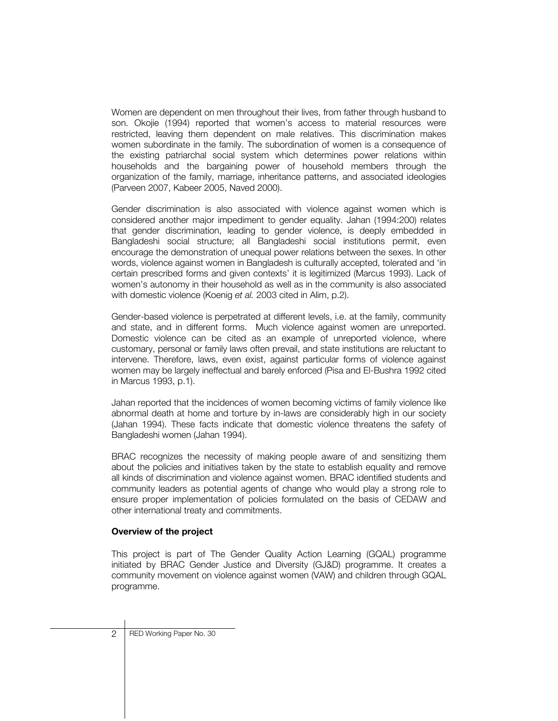Women are dependent on men throughout their lives, from father through husband to son. Okojie (1994) reported that women's access to material resources were restricted, leaving them dependent on male relatives. This discrimination makes women subordinate in the family. The subordination of women is a consequence of the existing patriarchal social system which determines power relations within households and the bargaining power of household members through the organization of the family, marriage, inheritance patterns, and associated ideologies (Parveen 2007, Kabeer 2005, Naved 2000).

Gender discrimination is also associated with violence against women which is considered another major impediment to gender equality. Jahan (1994:200) relates that gender discrimination, leading to gender violence, is deeply embedded in Bangladeshi social structure; all Bangladeshi social institutions permit, even encourage the demonstration of unequal power relations between the sexes. In other words, violence against women in Bangladesh is culturally accepted, tolerated and 'in certain prescribed forms and given contexts' it is legitimized (Marcus 1993). Lack of women's autonomy in their household as well as in the community is also associated with domestic violence (Koenig *et al.* 2003 cited in Alim, p.2).

Gender-based violence is perpetrated at different levels, i.e. at the family, community and state, and in different forms. Much violence against women are unreported. Domestic violence can be cited as an example of unreported violence, where customary, personal or family laws often prevail, and state institutions are reluctant to intervene. Therefore, laws, even exist, against particular forms of violence against women may be largely ineffectual and barely enforced (Pisa and El-Bushra 1992 cited in Marcus 1993, p.1).

Jahan reported that the incidences of women becoming victims of family violence like abnormal death at home and torture by in-laws are considerably high in our society (Jahan 1994). These facts indicate that domestic violence threatens the safety of Bangladeshi women (Jahan 1994).

BRAC recognizes the necessity of making people aware of and sensitizing them about the policies and initiatives taken by the state to establish equality and remove all kinds of discrimination and violence against women. BRAC identified students and community leaders as potential agents of change who would play a strong role to ensure proper implementation of policies formulated on the basis of CEDAW and other international treaty and commitments.

#### **Overview of the project**

This project is part of The Gender Quality Action Learning (GQAL) programme initiated by BRAC Gender Justice and Diversity (GJ&D) programme. It creates a community movement on violence against women (VAW) and children through GQAL programme.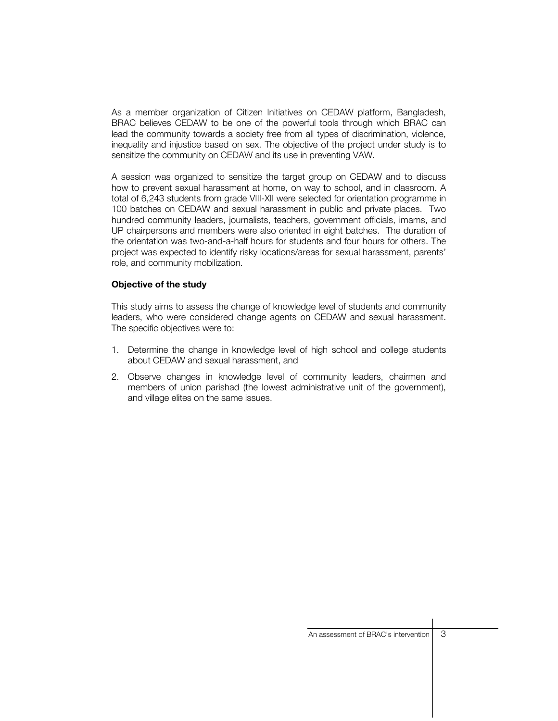As a member organization of Citizen Initiatives on CEDAW platform, Bangladesh, BRAC believes CEDAW to be one of the powerful tools through which BRAC can lead the community towards a society free from all types of discrimination, violence, inequality and injustice based on sex. The objective of the project under study is to sensitize the community on CEDAW and its use in preventing VAW.

A session was organized to sensitize the target group on CEDAW and to discuss how to prevent sexual harassment at home, on way to school, and in classroom. A total of 6,243 students from grade VIII-XII were selected for orientation programme in 100 batches on CEDAW and sexual harassment in public and private places. Two hundred community leaders, journalists, teachers, government officials, imams, and UP chairpersons and members were also oriented in eight batches. The duration of the orientation was two-and-a-half hours for students and four hours for others. The project was expected to identify risky locations/areas for sexual harassment, parents' role, and community mobilization.

#### **Objective of the study**

This study aims to assess the change of knowledge level of students and community leaders, who were considered change agents on CEDAW and sexual harassment. The specific objectives were to:

- 1. Determine the change in knowledge level of high school and college students about CEDAW and sexual harassment, and
- 2. Observe changes in knowledge level of community leaders, chairmen and members of union parishad (the lowest administrative unit of the government), and village elites on the same issues.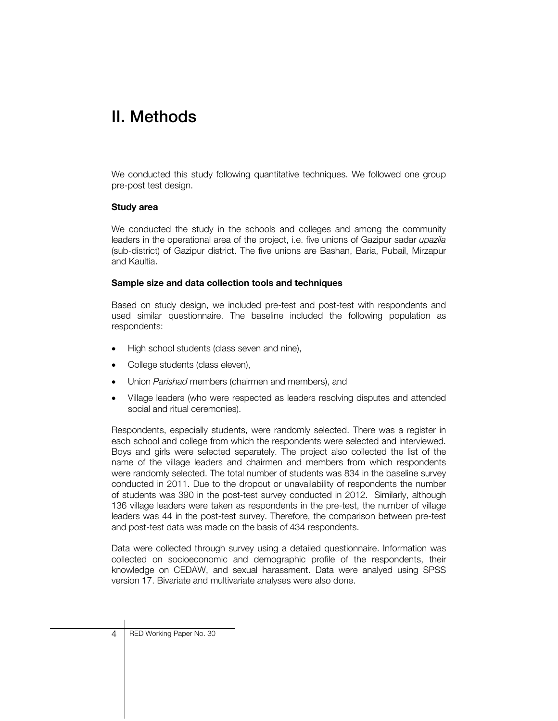# II. Methods

We conducted this study following quantitative techniques. We followed one group pre-post test design.

#### **Study area**

We conducted the study in the schools and colleges and among the community leaders in the operational area of the project, i.e. five unions of Gazipur sadar *upazila* (sub-district) of Gazipur district. The five unions are Bashan, Baria, Pubail, Mirzapur and Kaultia.

#### **Sample size and data collection tools and techniques**

Based on study design, we included pre-test and post-test with respondents and used similar questionnaire. The baseline included the following population as respondents:

- High school students (class seven and nine),
- College students (class eleven),
- Union *Parishad* members (chairmen and members), and
- Village leaders (who were respected as leaders resolving disputes and attended social and ritual ceremonies).

Respondents, especially students, were randomly selected. There was a register in each school and college from which the respondents were selected and interviewed. Boys and girls were selected separately. The project also collected the list of the name of the village leaders and chairmen and members from which respondents were randomly selected. The total number of students was 834 in the baseline survey conducted in 2011. Due to the dropout or unavailability of respondents the number of students was 390 in the post-test survey conducted in 2012. Similarly, although 136 village leaders were taken as respondents in the pre-test, the number of village leaders was 44 in the post-test survey. Therefore, the comparison between pre-test and post-test data was made on the basis of 434 respondents.

Data were collected through survey using a detailed questionnaire. Information was collected on socioeconomic and demographic profile of the respondents, their knowledge on CEDAW, and sexual harassment. Data were analyed using SPSS version 17. Bivariate and multivariate analyses were also done.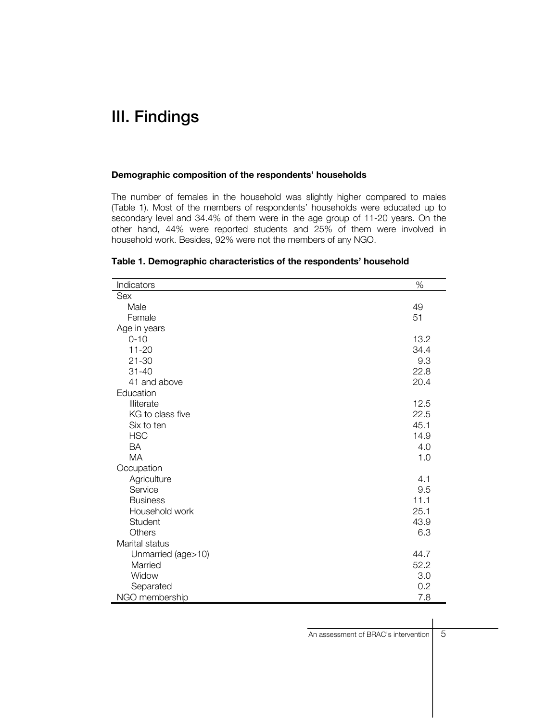### III. Findings

#### **Demographic composition of the respondents' households**

The number of females in the household was slightly higher compared to males (Table 1). Most of the members of respondents' households were educated up to secondary level and 34.4% of them were in the age group of 11-20 years. On the other hand, 44% were reported students and 25% of them were involved in household work. Besides, 92% were not the members of any NGO.

| Indicators         | %    |
|--------------------|------|
| Sex                |      |
| Male               | 49   |
| Female             | 51   |
| Age in years       |      |
| $0 - 10$           | 13.2 |
| $11 - 20$          | 34.4 |
| $21 - 30$          | 9.3  |
| $31 - 40$          | 22.8 |
| 41 and above       | 20.4 |
| Education          |      |
| Illiterate         | 12.5 |
| KG to class five   | 22.5 |
| Six to ten         | 45.1 |
| <b>HSC</b>         | 14.9 |
| <b>BA</b>          | 4.0  |
| <b>MA</b>          | 1.0  |
| Occupation         |      |
| Agriculture        | 4.1  |
| Service            | 9.5  |
| <b>Business</b>    | 11.1 |
| Household work     | 25.1 |
| Student            | 43.9 |
| Others             | 6.3  |
| Marital status     |      |
| Unmarried (age>10) | 44.7 |
| Married            | 52.2 |
| Widow              | 3.0  |
| Separated          | 0.2  |
| NGO membership     | 7.8  |

#### **Table 1. Demographic characteristics of the respondents' household**

| An assessment of BRAC's intervention | 5 |
|--------------------------------------|---|
|                                      |   |
|                                      |   |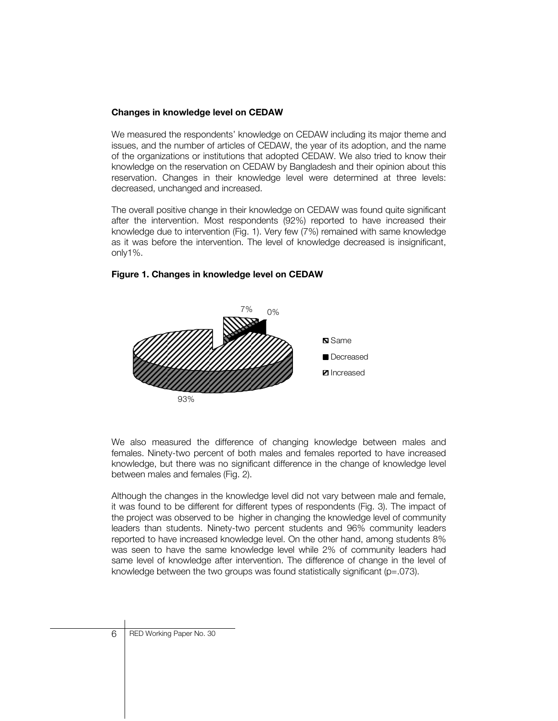#### **Changes in knowledge level on CEDAW**

We measured the respondents' knowledge on CEDAW including its major theme and issues, and the number of articles of CEDAW, the year of its adoption, and the name of the organizations or institutions that adopted CEDAW. We also tried to know their knowledge on the reservation on CEDAW by Bangladesh and their opinion about this reservation. Changes in their knowledge level were determined at three levels: decreased, unchanged and increased.

The overall positive change in their knowledge on CEDAW was found quite significant after the intervention. Most respondents (92%) reported to have increased their knowledge due to intervention (Fig. 1). Very few (7%) remained with same knowledge as it was before the intervention. The level of knowledge decreased is insignificant, only1%.



#### **Figure 1. Changes in knowledge level on CEDAW**

We also measured the difference of changing knowledge between males and females. Ninety-two percent of both males and females reported to have increased knowledge, but there was no significant difference in the change of knowledge level between males and females (Fig. 2).

Although the changes in the knowledge level did not vary between male and female, it was found to be different for different types of respondents (Fig. 3). The impact of the project was observed to be higher in changing the knowledge level of community leaders than students. Ninety-two percent students and 96% community leaders reported to have increased knowledge level. On the other hand, among students 8% was seen to have the same knowledge level while 2% of community leaders had same level of knowledge after intervention. The difference of change in the level of knowledge between the two groups was found statistically significant ( $p=.073$ ).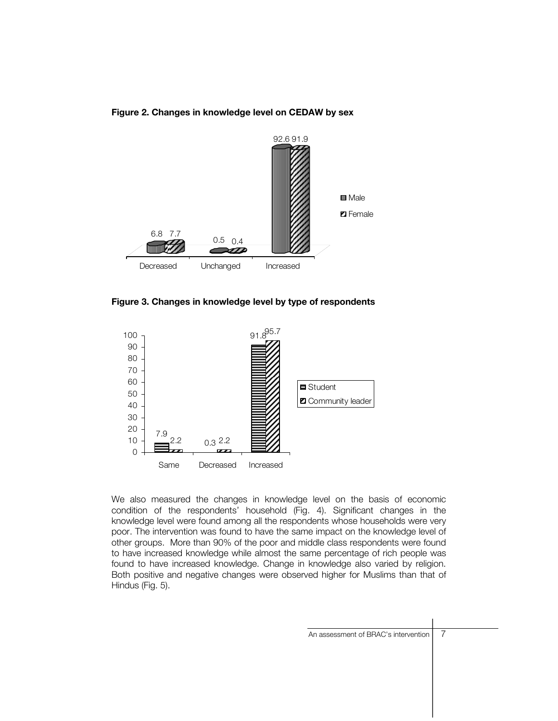



**Figure 3. Changes in knowledge level by type of respondents** 



We also measured the changes in knowledge level on the basis of economic condition of the respondents' household (Fig. 4). Significant changes in the knowledge level were found among all the respondents whose households were very poor. The intervention was found to have the same impact on the knowledge level of other groups. More than 90% of the poor and middle class respondents were found to have increased knowledge while almost the same percentage of rich people was found to have increased knowledge. Change in knowledge also varied by religion. Both positive and negative changes were observed higher for Muslims than that of Hindus (Fig. 5).

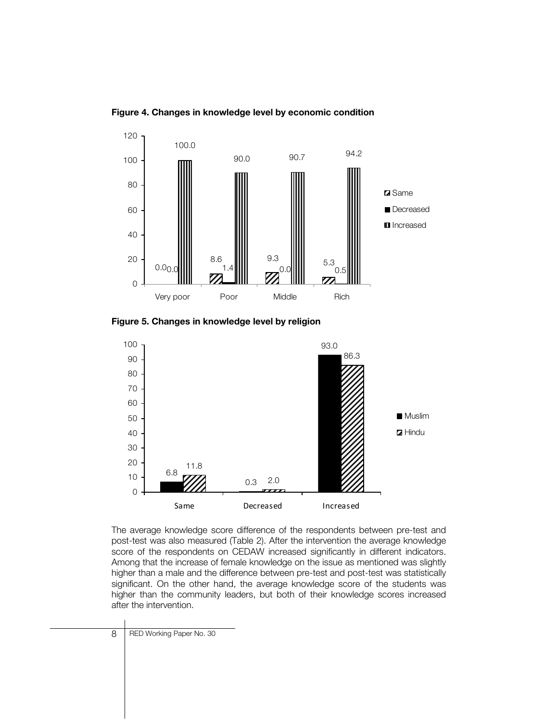120 100.0 90.0 90.7 94.2 100 80 **Z** Same Decreased 60 **I**I Increased 40  $\begin{array}{c|c} 9.3 & 5.3 \end{array}$ 20 8.6  $0.0<sub>0</sub>$ 0.0 $\| \|$   $\|$   $^{-1.4}$   $\|$   $\|$   $\|$   $\|$   $\|$   $\|$   $^{\circ}$   $^{\circ}$  0.5  $\boldsymbol{Z}$ 0 Very poor Poor Middle Rich

**Figure 4. Changes in knowledge level by economic condition** 

**Figure 5. Changes in knowledge level by religion** 



The average knowledge score difference of the respondents between pre-test and post-test was also measured (Table 2). After the intervention the average knowledge score of the respondents on CEDAW increased significantly in different indicators. Among that the increase of female knowledge on the issue as mentioned was slightly higher than a male and the difference between pre-test and post-test was statistically significant. On the other hand, the average knowledge score of the students was higher than the community leaders, but both of their knowledge scores increased after the intervention.

8 | RED Working Paper No. 30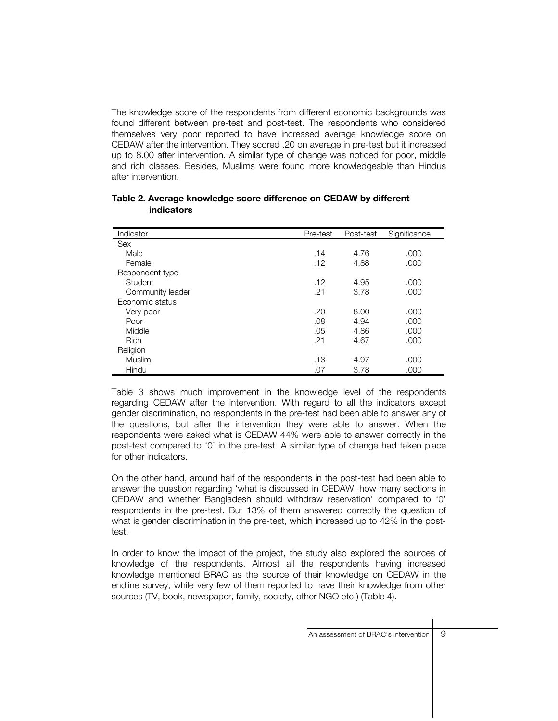The knowledge score of the respondents from different economic backgrounds was found different between pre-test and post-test. The respondents who considered themselves very poor reported to have increased average knowledge score on CEDAW after the intervention. They scored .20 on average in pre-test but it increased up to 8.00 after intervention. A similar type of change was noticed for poor, middle and rich classes. Besides, Muslims were found more knowledgeable than Hindus after intervention.

| Indicator        | Pre-test | Post-test | Significance |
|------------------|----------|-----------|--------------|
| <b>Sex</b>       |          |           |              |
| Male             | .14      | 4.76      | .000         |
| Female           | .12      | 4.88      | .000         |
| Respondent type  |          |           |              |
| Student          | .12      | 4.95      | .000         |
| Community leader | .21      | 3.78      | .000         |
| Economic status  |          |           |              |
| Very poor        | .20      | 8.00      | .000         |
| Poor             | .08      | 4.94      | .000         |
| Middle           | .05      | 4.86      | .000         |
| <b>Rich</b>      | .21      | 4.67      | .000         |
| Religion         |          |           |              |
| Muslim           | .13      | 4.97      | .000         |
| Hindu            | .07      | 3.78      | .000         |

#### **Table 2. Average knowledge score difference on CEDAW by different indicators**

Table 3 shows much improvement in the knowledge level of the respondents regarding CEDAW after the intervention. With regard to all the indicators except gender discrimination, no respondents in the pre-test had been able to answer any of the questions, but after the intervention they were able to answer. When the respondents were asked what is CEDAW 44% were able to answer correctly in the post-test compared to '0' in the pre-test. A similar type of change had taken place for other indicators.

On the other hand, around half of the respondents in the post-test had been able to answer the question regarding 'what is discussed in CEDAW, how many sections in CEDAW and whether Bangladesh should withdraw reservation' compared to '0' respondents in the pre-test. But 13% of them answered correctly the question of what is gender discrimination in the pre-test, which increased up to 42% in the posttest.

In order to know the impact of the project, the study also explored the sources of knowledge of the respondents. Almost all the respondents having increased knowledge mentioned BRAC as the source of their knowledge on CEDAW in the endline survey, while very few of them reported to have their knowledge from other sources (TV, book, newspaper, family, society, other NGO etc.) (Table 4).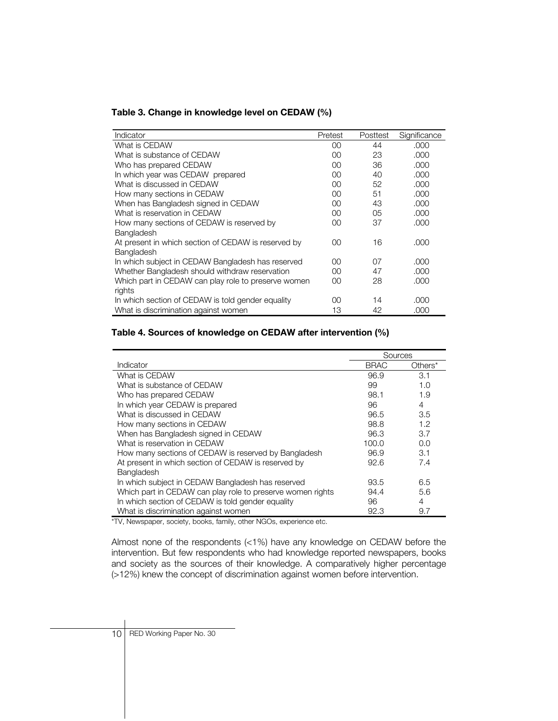| Table 3. Change in knowledge level on CEDAW (%) |  |  |  |  |  |  |
|-------------------------------------------------|--|--|--|--|--|--|
|-------------------------------------------------|--|--|--|--|--|--|

| Indicator                                           | Pretest | Posttest | Significance |
|-----------------------------------------------------|---------|----------|--------------|
| What is CEDAW                                       | OO.     | 44       | .000         |
| What is substance of CEDAW                          | $00\,$  | 23       | .000         |
| Who has prepared CEDAW                              | $00\,$  | 36       | .000         |
| In which year was CEDAW prepared                    | $00\,$  | 40       | .000         |
| What is discussed in CEDAW                          | $00\,$  | 52       | .000         |
| How many sections in CEDAW                          | $00\,$  | 51       | .000         |
| When has Bangladesh signed in CEDAW                 | $00\,$  | 43       | .000         |
| What is reservation in CEDAW                        | $00\,$  | 05       | .000         |
| How many sections of CEDAW is reserved by           | $00\,$  | 37       | .000         |
| Bangladesh                                          |         |          |              |
| At present in which section of CEDAW is reserved by | OO.     | 16       | .000         |
| Bangladesh                                          |         |          |              |
| In which subject in CEDAW Bangladesh has reserved   | OO.     | 07       | .000         |
| Whether Bangladesh should withdraw reservation      | OO.     | 47       | .000         |
| Which part in CEDAW can play role to preserve women | OO.     | 28       | .000         |
| rights                                              |         |          |              |
| In which section of CEDAW is told gender equality   | OO.     | 14       | .000         |
| What is discrimination against women                | 13      | 42       | .000         |

#### **Table 4. Sources of knowledge on CEDAW after intervention (%)**

|                                                            | Sources     |         |
|------------------------------------------------------------|-------------|---------|
| Indicator                                                  | <b>BRAC</b> | Others* |
| What is CEDAW                                              | 96.9        | 3.1     |
| What is substance of CEDAW                                 | 99          | 1.0     |
| Who has prepared CEDAW                                     | 98.1        | 1.9     |
| In which year CEDAW is prepared                            | 96          | 4       |
| What is discussed in CEDAW                                 | 96.5        | 3.5     |
| How many sections in CEDAW                                 | 98.8        | 1.2     |
| When has Bangladesh signed in CEDAW                        | 96.3        | 3.7     |
| What is reservation in CEDAW                               | 100.0       | 0.0     |
| How many sections of CEDAW is reserved by Bangladesh       | 96.9        | 3.1     |
| At present in which section of CEDAW is reserved by        | 92.6        | 7.4     |
| Bangladesh                                                 |             |         |
| In which subject in CEDAW Bangladesh has reserved          | 93.5        | 6.5     |
| Which part in CEDAW can play role to preserve women rights | 94.4        | 5.6     |
| In which section of CEDAW is told gender equality          | 96          | 4       |
| What is discrimination against women                       | 92.3        | 9.7     |

\*TV, Newspaper, society, books, family, other NGOs, experience etc.

Almost none of the respondents (<1%) have any knowledge on CEDAW before the intervention. But few respondents who had knowledge reported newspapers, books and society as the sources of their knowledge. A comparatively higher percentage (>12%) knew the concept of discrimination against women before intervention.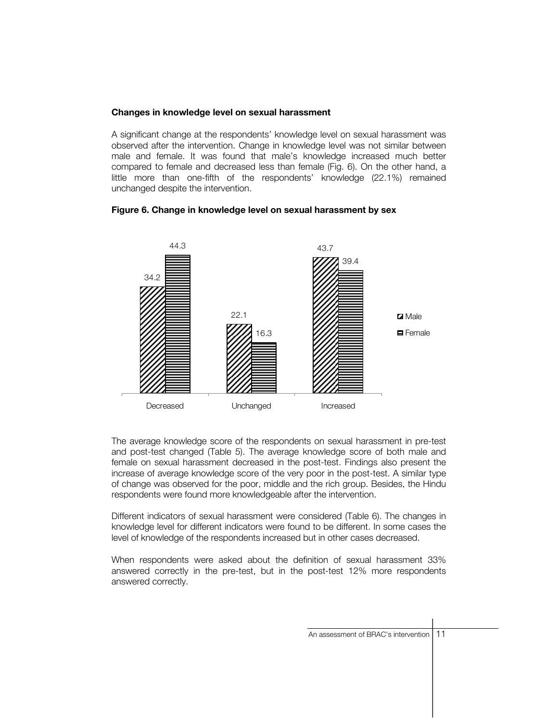#### **Changes in knowledge level on sexual harassment**

A significant change at the respondents' knowledge level on sexual harassment was observed after the intervention. Change in knowledge level was not similar between male and female. It was found that male's knowledge increased much better compared to female and decreased less than female (Fig. 6). On the other hand, a little more than one-fifth of the respondents' knowledge (22.1%) remained unchanged despite the intervention.

#### **Figure 6. Change in knowledge level on sexual harassment by sex**



The average knowledge score of the respondents on sexual harassment in pre-test and post-test changed (Table 5). The average knowledge score of both male and female on sexual harassment decreased in the post-test. Findings also present the increase of average knowledge score of the very poor in the post-test. A similar type of change was observed for the poor, middle and the rich group. Besides, the Hindu respondents were found more knowledgeable after the intervention.

Different indicators of sexual harassment were considered (Table 6). The changes in knowledge level for different indicators were found to be different. In some cases the level of knowledge of the respondents increased but in other cases decreased.

When respondents were asked about the definition of sexual harassment 33% answered correctly in the pre-test, but in the post-test 12% more respondents answered correctly.

| An assessment of BRAC's intervention   11 |  |
|-------------------------------------------|--|
|                                           |  |
|                                           |  |
|                                           |  |
|                                           |  |
|                                           |  |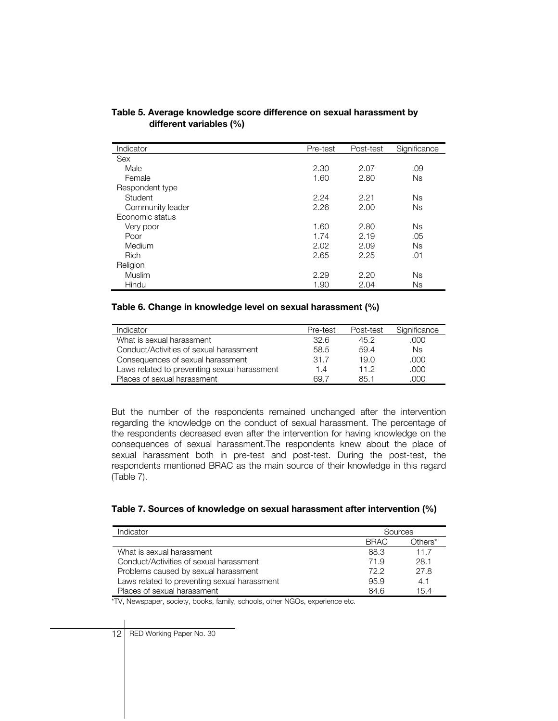| Indicator        | Pre-test | Post-test | Significance |
|------------------|----------|-----------|--------------|
| Sex              |          |           |              |
| Male             | 2.30     | 2.07      | .09          |
| Female           | 1.60     | 2.80      | Ns           |
| Respondent type  |          |           |              |
| Student          | 2.24     | 2.21      | <b>Ns</b>    |
| Community leader | 2.26     | 2.00      | <b>Ns</b>    |
| Economic status  |          |           |              |
| Very poor        | 1.60     | 2.80      | <b>Ns</b>    |
| Poor             | 1.74     | 2.19      | .05          |
| Medium           | 2.02     | 2.09      | Ns           |
| <b>Rich</b>      | 2.65     | 2.25      | .01          |
| Religion         |          |           |              |
| Muslim           | 2.29     | 2.20      | Ns           |
| Hindu            | 1.90     | 2.04      | Ns           |

#### **Table 5. Average knowledge score difference on sexual harassment by different variables (%)**

#### **Table 6. Change in knowledge level on sexual harassment (%)**

| Indicator                                    | Pre-test | Post-test | Significance |
|----------------------------------------------|----------|-----------|--------------|
| What is sexual harassment                    | 32.6     | 45.2      | .000         |
| Conduct/Activities of sexual harassment      | 58.5     | 59.4      | Ns           |
| Consequences of sexual harassment            | 31.7     | 19.0      | .000         |
| Laws related to preventing sexual harassment | 1.4      | 11.2      | .000         |
| Places of sexual harassment                  | 69 7     | 85 1      | .NOO         |

But the number of the respondents remained unchanged after the intervention regarding the knowledge on the conduct of sexual harassment. The percentage of the respondents decreased even after the intervention for having knowledge on the consequences of sexual harassment.The respondents knew about the place of sexual harassment both in pre-test and post-test. During the post-test, the respondents mentioned BRAC as the main source of their knowledge in this regard (Table 7).

| Indicator                                    | Sources     |         |
|----------------------------------------------|-------------|---------|
|                                              | <b>BRAC</b> | Others* |
| What is sexual harassment                    | 88.3        | 117     |
| Conduct/Activities of sexual harassment      | 71.9        | 28.1    |
| Problems caused by sexual harassment         | 722         | 27.8    |
| Laws related to preventing sexual harassment | 95.9        | 4.1     |
| Places of sexual harassment                  | 84.6        | 15.4    |

\*TV, Newspaper, society, books, family, schools, other NGOs, experience etc.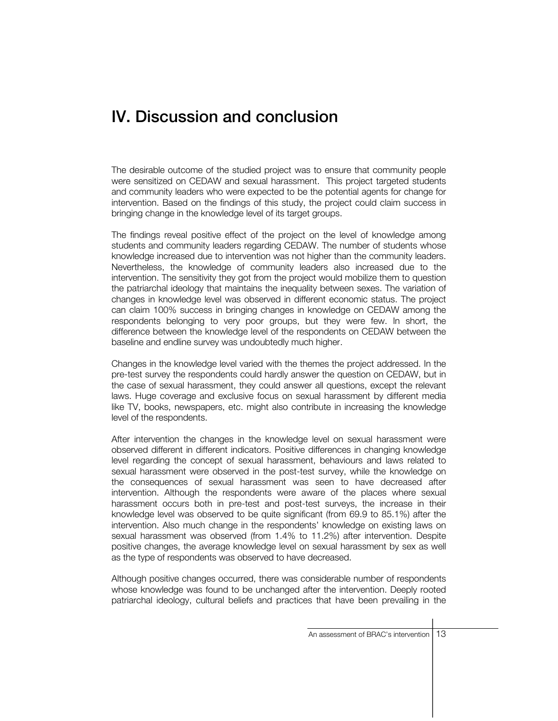### IV. Discussion and conclusion

The desirable outcome of the studied project was to ensure that community people were sensitized on CEDAW and sexual harassment. This project targeted students and community leaders who were expected to be the potential agents for change for intervention. Based on the findings of this study, the project could claim success in bringing change in the knowledge level of its target groups.

The findings reveal positive effect of the project on the level of knowledge among students and community leaders regarding CEDAW. The number of students whose knowledge increased due to intervention was not higher than the community leaders. Nevertheless, the knowledge of community leaders also increased due to the intervention. The sensitivity they got from the project would mobilize them to question the patriarchal ideology that maintains the inequality between sexes. The variation of changes in knowledge level was observed in different economic status. The project can claim 100% success in bringing changes in knowledge on CEDAW among the respondents belonging to very poor groups, but they were few. In short, the difference between the knowledge level of the respondents on CEDAW between the baseline and endline survey was undoubtedly much higher.

Changes in the knowledge level varied with the themes the project addressed. In the pre-test survey the respondents could hardly answer the question on CEDAW, but in the case of sexual harassment, they could answer all questions, except the relevant laws. Huge coverage and exclusive focus on sexual harassment by different media like TV, books, newspapers, etc. might also contribute in increasing the knowledge level of the respondents.

After intervention the changes in the knowledge level on sexual harassment were observed different in different indicators. Positive differences in changing knowledge level regarding the concept of sexual harassment, behaviours and laws related to sexual harassment were observed in the post-test survey, while the knowledge on the consequences of sexual harassment was seen to have decreased after intervention. Although the respondents were aware of the places where sexual harassment occurs both in pre-test and post-test surveys, the increase in their knowledge level was observed to be quite significant (from 69.9 to 85.1%) after the intervention. Also much change in the respondents' knowledge on existing laws on sexual harassment was observed (from 1.4% to 11.2%) after intervention. Despite positive changes, the average knowledge level on sexual harassment by sex as well as the type of respondents was observed to have decreased.

Although positive changes occurred, there was considerable number of respondents whose knowledge was found to be unchanged after the intervention. Deeply rooted patriarchal ideology, cultural beliefs and practices that have been prevailing in the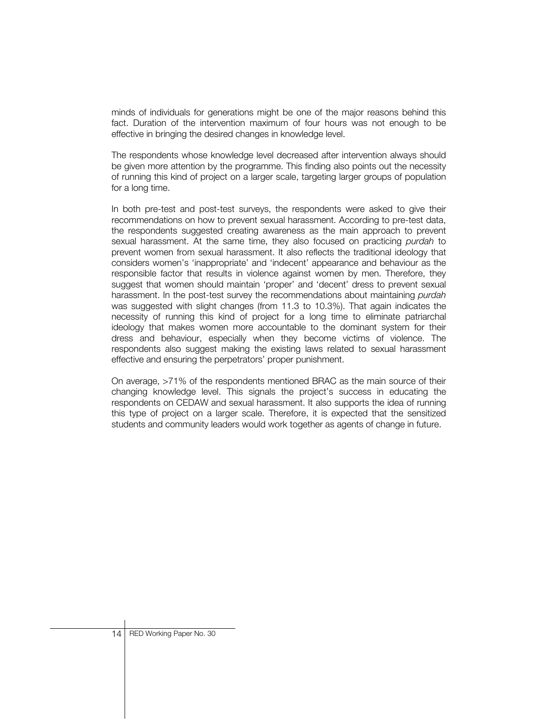minds of individuals for generations might be one of the major reasons behind this fact. Duration of the intervention maximum of four hours was not enough to be effective in bringing the desired changes in knowledge level.

The respondents whose knowledge level decreased after intervention always should be given more attention by the programme. This finding also points out the necessity of running this kind of project on a larger scale, targeting larger groups of population for a long time.

In both pre-test and post-test surveys, the respondents were asked to give their recommendations on how to prevent sexual harassment. According to pre-test data, the respondents suggested creating awareness as the main approach to prevent sexual harassment. At the same time, they also focused on practicing *purdah* to prevent women from sexual harassment. It also reflects the traditional ideology that considers women's 'inappropriate' and 'indecent' appearance and behaviour as the responsible factor that results in violence against women by men. Therefore, they suggest that women should maintain 'proper' and 'decent' dress to prevent sexual harassment. In the post-test survey the recommendations about maintaining *purdah* was suggested with slight changes (from 11.3 to 10.3%). That again indicates the necessity of running this kind of project for a long time to eliminate patriarchal ideology that makes women more accountable to the dominant system for their dress and behaviour, especially when they become victims of violence. The respondents also suggest making the existing laws related to sexual harassment effective and ensuring the perpetrators' proper punishment.

On average, >71% of the respondents mentioned BRAC as the main source of their changing knowledge level. This signals the project's success in educating the respondents on CEDAW and sexual harassment. It also supports the idea of running this type of project on a larger scale. Therefore, it is expected that the sensitized students and community leaders would work together as agents of change in future.